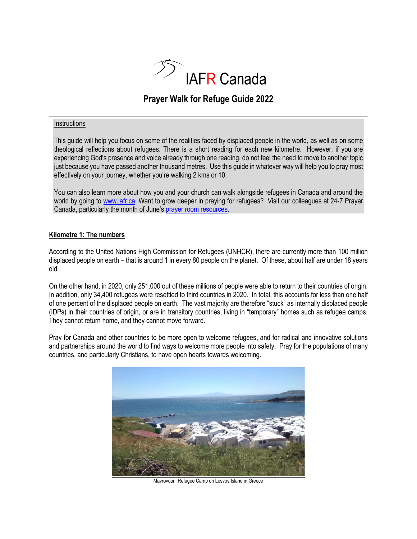

# **Prayer Walk for Refuge Guide 2022**

#### **Instructions**

This guide will help you focus on some of the realities faced by displaced people in the world, as well as on some theological reflections about refugees. There is a short reading for each new kilometre. However, if you are experiencing God's presence and voice already through one reading, do not feel the need to move to another topic just because you have passed another thousand metres. Use this guide in whatever way will help you to pray most effectively on your journey, whether you're walking 2 kms or 10.

You can also learn more about how you and your church can walk alongside refugees in Canada and around the world by going to [www.iafr.ca.](http://www.iafr.ca/) Want to grow deeper in praying for refugees? Visit our colleagues at 24-7 Prayer Canada, particularly the month of June's [prayer room resources.](https://www.247prayercanada.com/resources)

#### **Kilometre 1: The numbers**

According to the United Nations High Commission for Refugees (UNHCR), there are currently more than 100 million displaced people on earth – that is around 1 in every 80 people on the planet. Of these, about half are under 18 years old.

On the other hand, in 2020, only 251,000 out of these millions of people were able to return to their countries of origin. In addition, only 34,400 refugees were resettled to third countries in 2020. In total, this accounts for less than one half of one percent of the displaced people on earth. The vast majority are therefore "stuck" as internally displaced people (IDPs) in their countries of origin, or are in transitory countries, living in "temporary" homes such as refugee camps. They cannot return home, and they cannot move forward.

Pray for Canada and other countries to be more open to welcome refugees, and for radical and innovative solutions and partnerships around the world to find ways to welcome more people into safety. Pray for the populations of many countries, and particularly Christians, to have open hearts towards welcoming.



Mavrovouni Refugee Camp on Lesvos Island in Greece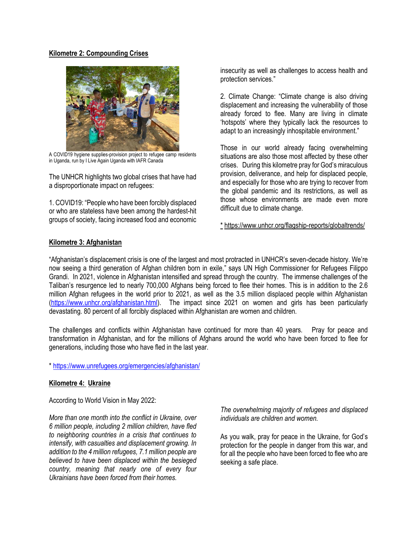#### **Kilometre 2: Compounding Crises**



A COVID19 hygiene supplies-provision project to refugee camp residents in Uganda, run by I Live Again Uganda with IAFR Canada

The UNHCR highlights two global crises that have had a disproportionate impact on refugees:

1. COVID19: "People who have been forcibly displaced or who are stateless have been among the hardest-hit groups of society, facing increased food and economic

insecurity as well as challenges to access health and protection services."

2. Climate Change: "Climate change is also driving displacement and increasing the vulnerability of those already forced to flee. Many are living in climate 'hotspots' where they typically lack the resources to adapt to an increasingly inhospitable environment."

Those in our world already facing overwhelming situations are also those most affected by these other crises. During this kilometre pray for God's miraculous provision, deliverance, and help for displaced people, and especially for those who are trying to recover from the global pandemic and its restrictions, as well as those whose environments are made even more difficult due to climate change.

\* https://www.unhcr.org/flagship-reports/globaltrends/

# **Kilometre 3: Afghanistan**

"Afghanistan's displacement crisis is one of the largest and most protracted in UNHCR's seven-decade history. We're now seeing a third generation of Afghan children born in exile," says UN High Commissioner for Refugees Filippo Grandi. In 2021, violence in Afghanistan intensified and spread through the country. The immense challenges of the Taliban's resurgence led to nearly 700,000 Afghans being forced to flee their homes. This is in addition to the 2.6 million Afghan refugees in the world prior to 2021, as well as the 3.5 million displaced people within Afghanistan [\(https://www.unhcr.org/afghanistan.html\)](https://www.unhcr.org/afghanistan.html). The impact since 2021 on women and girls has been particularly devastating. 80 percent of all forcibly displaced within Afghanistan are women and children.

The challenges and conflicts within Afghanistan have continued for more than 40 years. Pray for peace and transformation in Afghanistan, and for the millions of Afghans around the world who have been forced to flee for generations, including those who have fled in the last year.

\*<https://www.unrefugees.org/emergencies/afghanistan/>

# **Kilometre 4: Ukraine**

According to World Vision in May 2022:

*More than one month into the conflict in Ukraine, over 6 million people, including 2 million children, have fled to neighboring countries in a crisis that continues to intensify, with casualties and displacement growing. In addition to the 4 million refugees, 7.1 million people are believed to have been displaced within the besieged country, meaning that nearly one of every four Ukrainians have been forced from their homes.*

*The overwhelming majority of refugees and displaced individuals are children and women.* 

As you walk, pray for peace in the Ukraine, for God's protection for the people in danger from this war, and for all the people who have been forced to flee who are seeking a safe place.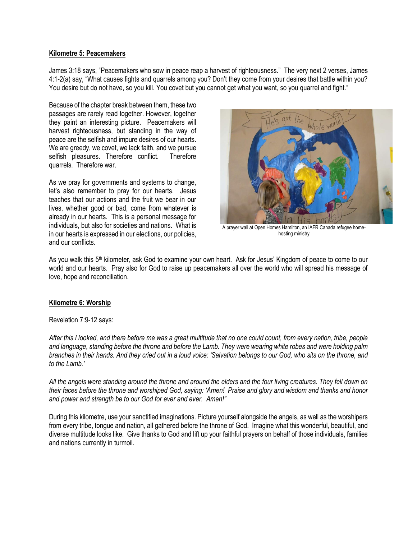#### **Kilometre 5: Peacemakers**

James 3:18 says, "Peacemakers who sow in peace reap a harvest of righteousness." The very next 2 verses, James 4:1-2(a) say, "What causes fights and quarrels among you? Don't they come from your desires that battle within you? You desire but do not have, so you kill. You covet but you cannot get what you want, so you quarrel and fight."

Because of the chapter break between them, these two passages are rarely read together. However, together they paint an interesting picture. Peacemakers will harvest righteousness, but standing in the way of peace are the selfish and impure desires of our hearts. We are greedy, we covet, we lack faith, and we pursue selfish pleasures. Therefore conflict. Therefore quarrels. Therefore war.

As we pray for governments and systems to change, let's also remember to pray for our hearts. Jesus teaches that our actions and the fruit we bear in our lives, whether good or bad, come from whatever is already in our hearts. This is a personal message for individuals, but also for societies and nations. What is in our hearts is expressed in our elections, our policies, and our conflicts.



A prayer wall at Open Homes Hamilton, an IAFR Canada refugee homehosting ministry

As you walk this 5th kilometer, ask God to examine your own heart. Ask for Jesus' Kingdom of peace to come to our world and our hearts. Pray also for God to raise up peacemakers all over the world who will spread his message of love, hope and reconciliation.

# **Kilometre 6: Worship**

#### Revelation 7:9-12 says:

*After this I looked, and there before me was a great multitude that no one could count, from every nation, tribe, people and language, standing before the throne and before the Lamb. They were wearing white robes and were holding palm branches in their hands. And they cried out in a loud voice: 'Salvation belongs to our God, who sits on the throne, and to the Lamb.'*

*All the angels were standing around the throne and around the elders and the four living creatures. They fell down on their faces before the throne and worshiped God, saying: 'Amen! Praise and glory and wisdom and thanks and honor and power and strength be to our God for ever and ever. Amen!"*

During this kilometre, use your sanctified imaginations. Picture yourself alongside the angels, as well as the worshipers from every tribe, tongue and nation, all gathered before the throne of God. Imagine what this wonderful, beautiful, and diverse multitude looks like. Give thanks to God and lift up your faithful prayers on behalf of those individuals, families and nations currently in turmoil.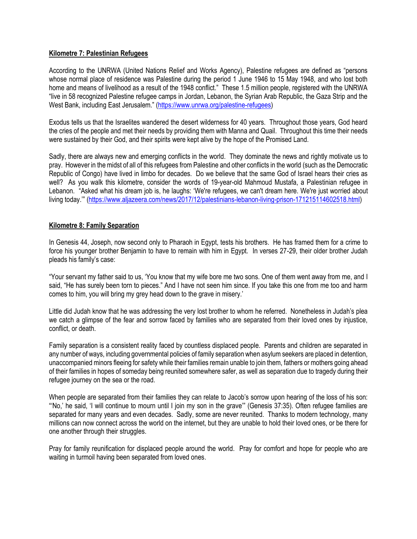## **Kilometre 7: Palestinian Refugees**

According to the UNRWA (United Nations Relief and Works Agency), Palestine refugees are defined as "persons whose normal place of residence was Palestine during the period 1 June 1946 to 15 May 1948, and who lost both home and means of livelihood as a result of the 1948 conflict." These 1.5 million people, registered with the UNRWA "live in 58 recognized Palestine refugee camps in Jordan, Lebanon, the Syrian Arab Republic, the Gaza Strip and the West Bank, including East Jerusalem." ([https://www.unrwa.org/palestine-refugees\)](https://www.unrwa.org/palestine-refugees)

Exodus tells us that the Israelites wandered the desert wilderness for 40 years. Throughout those years, God heard the cries of the people and met their needs by providing them with Manna and Quail. Throughout this time their needs were sustained by their God, and their spirits were kept alive by the hope of the Promised Land.

Sadly, there are always new and emerging conflicts in the world. They dominate the news and rightly motivate us to pray. However in the midst of all of this refugees from Palestine and other conflicts in the world (such as the Democratic Republic of Congo) have lived in limbo for decades. Do we believe that the same God of Israel hears their cries as well? As you walk this kilometre, consider the words of 19-year-old Mahmoud Mustafa, a Palestinian refugee in Lebanon. "Asked what his dream job is, he laughs: 'We're refugees, we can't dream here. We're just worried about living today.'" ([https://www.aljazeera.com/news/2017/12/palestinians-lebanon-living-prison-171215114602518.html\)](https://www.aljazeera.com/news/2017/12/palestinians-lebanon-living-prison-171215114602518.html)

## **Kilometre 8: Family Separation**

In Genesis 44, Joseph, now second only to Pharaoh in Egypt, tests his brothers. He has framed them for a crime to force his younger brother Benjamin to have to remain with him in Egypt. In verses 27-29, their older brother Judah pleads his family's case:

"Your servant my father said to us, 'You know that my wife bore me two sons. One of them went away from me, and I said, "He has surely been torn to pieces." And I have not seen him since. If you take this one from me too and harm comes to him, you will bring my grey head down to the grave in misery.'

Little did Judah know that he was addressing the very lost brother to whom he referred. Nonetheless in Judah's plea we catch a glimpse of the fear and sorrow faced by families who are separated from their loved ones by injustice, conflict, or death.

Family separation is a consistent reality faced by countless displaced people. Parents and children are separated in any number of ways, including governmental policies of family separation when asylum seekers are placed in detention, unaccompanied minors fleeing for safety while their families remain unable to join them, fathers or mothers going ahead of their families in hopes of someday being reunited somewhere safer, as well as separation due to tragedy during their refugee journey on the sea or the road.

When people are separated from their families they can relate to Jacob's sorrow upon hearing of the loss of his son: "'No,' he said, 'I will continue to mourn until I join my son in the grave'" (Genesis 37:35). Often refugee families are separated for many years and even decades. Sadly, some are never reunited. Thanks to modern technology, many millions can now connect across the world on the internet, but they are unable to hold their loved ones, or be there for one another through their struggles.

Pray for family reunification for displaced people around the world. Pray for comfort and hope for people who are waiting in turmoil having been separated from loved ones.